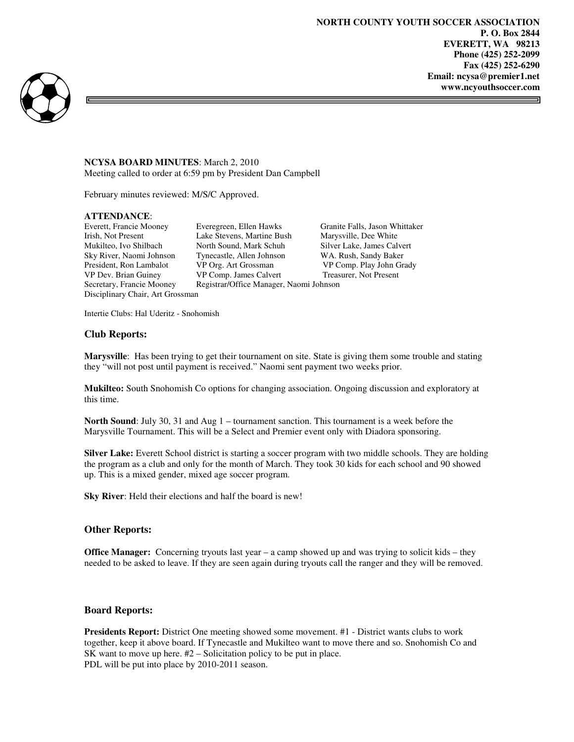ᆿ



#### **NCYSA BOARD MINUTES**: March 2, 2010 Meeting called to order at 6:59 pm by President Dan Campbell

February minutes reviewed: M/S/C Approved.

# **ATTENDANCE:**<br>Everett, Francie Mooney

Disciplinary Chair, Art Grossman

Everegreen, Ellen Hawks Granite Falls, Jason Whittaker Irish, Not Present Lake Stevens, Martine Bush Marysville, Dee White Mukilteo, Ivo Shilbach North Sound, Mark Schuh Silver Lake, James Calvert Sky River, Naomi Johnson Tynecastle, Allen Johnson WA. Rush, Sandy Baker President, Ron Lambalot VP Org. Art Grossman VP Comp. Play John Grady VP Dev. Brian Guiney VP Comp. James Calvert Treasurer, Not Present Secretary, Francie Mooney Registrar/Office Manager, Naomi Johnson

Intertie Clubs: Hal Uderitz - Snohomish

### **Club Reports:**

**Marysville**: Has been trying to get their tournament on site. State is giving them some trouble and stating they "will not post until payment is received." Naomi sent payment two weeks prior.

**Mukilteo:** South Snohomish Co options for changing association. Ongoing discussion and exploratory at this time.

**North Sound**: July 30, 31 and Aug 1 – tournament sanction. This tournament is a week before the Marysville Tournament. This will be a Select and Premier event only with Diadora sponsoring.

**Silver Lake:** Everett School district is starting a soccer program with two middle schools. They are holding the program as a club and only for the month of March. They took 30 kids for each school and 90 showed up. This is a mixed gender, mixed age soccer program.

**Sky River**: Held their elections and half the board is new!

#### **Other Reports:**

**Office Manager:** Concerning tryouts last year – a camp showed up and was trying to solicit kids – they needed to be asked to leave. If they are seen again during tryouts call the ranger and they will be removed.

#### **Board Reports:**

**Presidents Report:** District One meeting showed some movement. #1 - District wants clubs to work together, keep it above board. If Tynecastle and Mukilteo want to move there and so. Snohomish Co and SK want to move up here. #2 – Solicitation policy to be put in place. PDL will be put into place by 2010-2011 season.